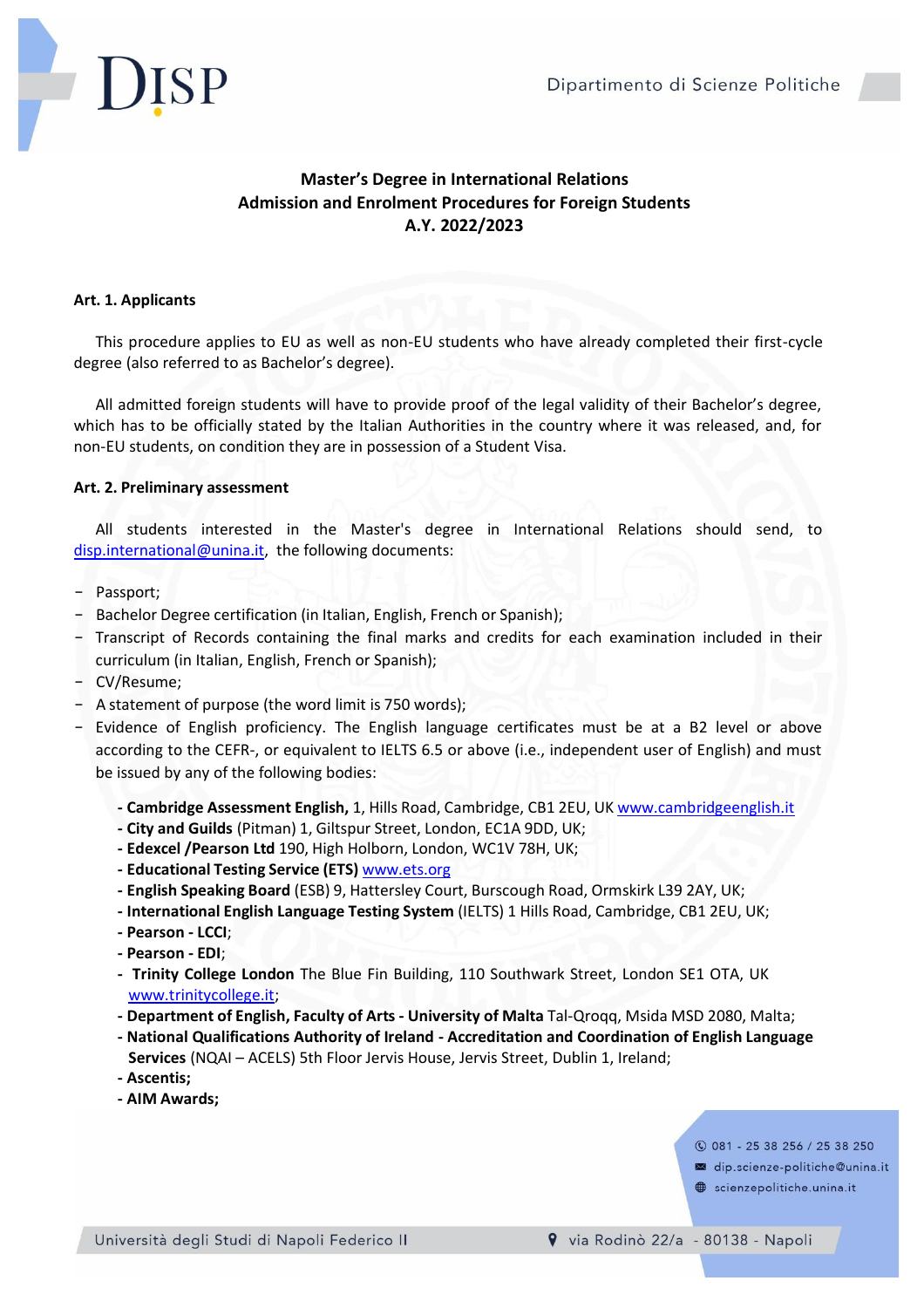

# **Master's Degree in International Relations Admission and Enrolment Procedures for Foreign Students A.Y. 2022/2023**

## **Art. 1. Applicants**

This procedure applies to EU as well as non-EU students who have already completed their first-cycle degree (also referred to as Bachelor's degree).

All admitted foreign students will have to provide proof of the legal validity of their Bachelor's degree, which has to be officially stated by the Italian Authorities in the country where it was released, and, for non-EU students, on condition they are in possession of a Student Visa.

### **Art. 2. Preliminary assessment**

All students interested in the Master's degree in International Relations should send, to [disp.international@unina.it,](mailto:disp.international@unina.it) the following documents:

- Passport;
- Bachelor Degree certification (in Italian, English, French or Spanish);
- Transcript of Records containing the final marks and credits for each examination included in their curriculum (in Italian, English, French or Spanish);
- CV/Resume;
- A statement of purpose (the word limit is 750 words);
- Evidence of English proficiency. The English language certificates must be at a B2 level or above according to the CEFR-, or equivalent to IELTS 6.5 or above (i.e., independent user of English) and must be issued by any of the following bodies:
	- **- Cambridge Assessment English,** 1, Hills Road, Cambridge, CB1 2EU, UK [www.cambridgeenglish.it](http://www.cambridgeenglish.it/)
	- **- City and Guilds** (Pitman) 1, Giltspur Street, London, EC1A 9DD, UK;
	- **- Edexcel /Pearson Ltd** 190, High Holborn, London, WC1V 78H, UK;
	- **- Educational Testing Service (ETS)** [www.ets.org](http://www.ets.org/)
	- **- English Speaking Board** (ESB) 9, Hattersley Court, Burscough Road, Ormskirk L39 2AY, UK;
	- **- International English Language Testing System** (IELTS) 1 Hills Road, Cambridge, CB1 2EU, UK;
	- **- Pearson - LCCI**;
	- **- Pearson - EDI**;
	- **- Trinity College London** The Blue Fin Building, 110 Southwark Street, London SE1 OTA, UK www.trinitycollege.it;
	- **- Department of English, Faculty of Arts - University of Malta** Tal-Qroqq, Msida MSD 2080, Malta;
	- **- National Qualifications Authority of Ireland - Accreditation and Coordination of English Language Services** (NQAI – ACELS) 5th Floor Jervis House, Jervis Street, Dublin 1, Ireland;
	- **- Ascentis;**
	- **- AIM Awards;**

**C** 081 - 25 38 256 / 25 38 250

- dip.scienze-politiche@unina.it
- scienzepolitiche.unina.it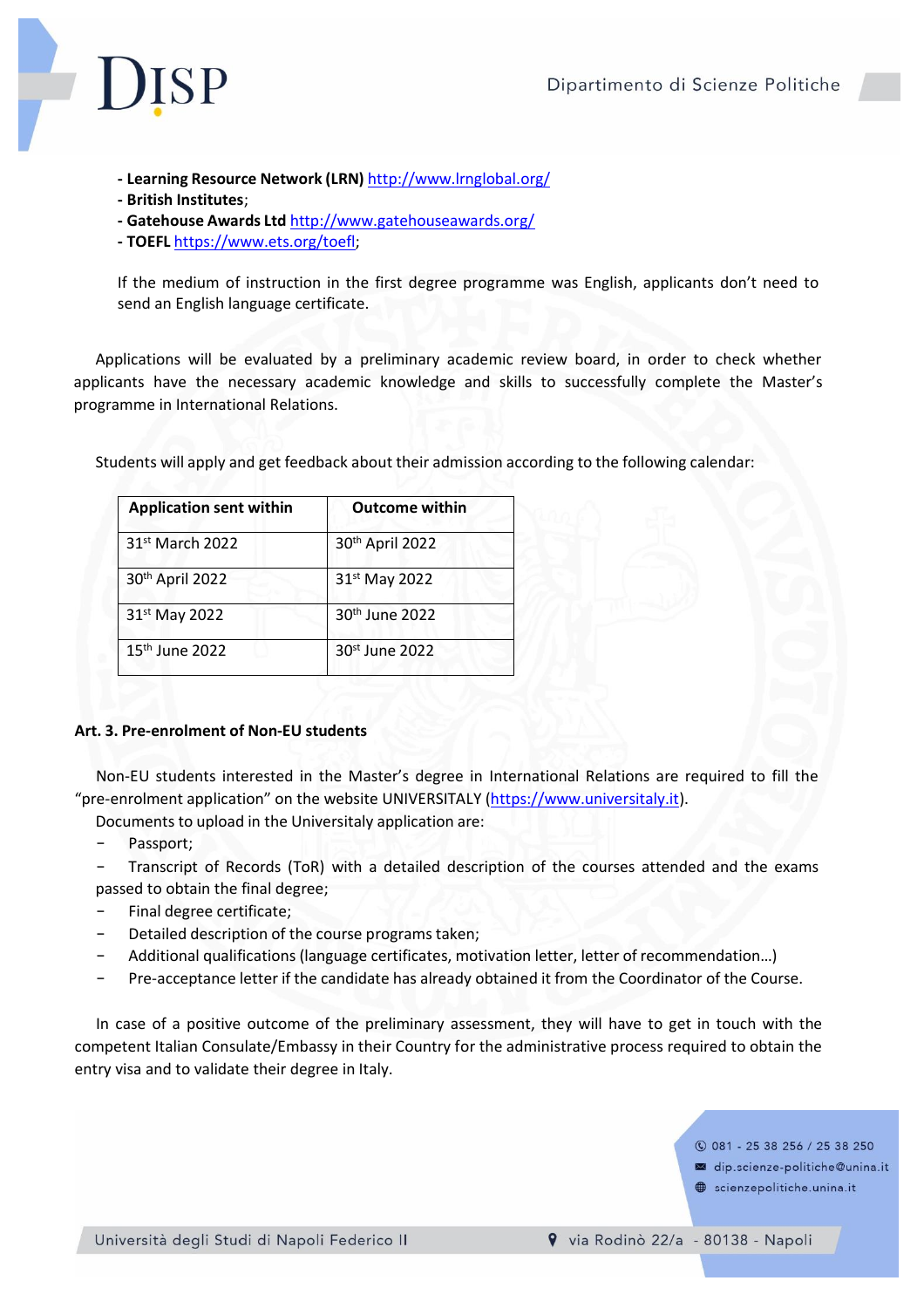

- **- Learning Resource Network (LRN)** <http://www.lrnglobal.org/>
- **- British Institutes**;
- **- Gatehouse Awards Ltd** <http://www.gatehouseawards.org/>
- **- TOEFL** [https://ww](http://www.ets.org/toefl%3B)w.ets[.org/toefl;](http://www.ets.org/toefl%3B)

If the medium of instruction in the first degree programme was English, applicants don't need to send an English language certificate.

Applications will be evaluated by a preliminary academic review board, in order to check whether applicants have the necessary academic knowledge and skills to successfully complete the Master's programme in International Relations.

| <b>Application sent within</b> | <b>Outcome within</b>      |
|--------------------------------|----------------------------|
| 31 <sup>st</sup> March 2022    | 30th April 2022            |
| 30th April 2022                | 31st May 2022              |
| 31st May 2022                  | 30th June 2022             |
| 15 <sup>th</sup> June 2022     | 30 <sup>st</sup> June 2022 |

Students will apply and get feedback about their admission according to the following calendar:

# **Art. 3. Pre-enrolment of Non-EU students**

Non-EU students interested in the Master's degree in International Relations are required to fill the "pre-enrolment application" on the website UNIVERSITALY (https://www.universitaly.it).

Documents to upload in the Universitaly application are:

- Passport;
- Transcript of Records (ToR) with a detailed description of the courses attended and the exams passed to obtain the final degree;
- Final degree certificate;
- Detailed description of the course programs taken;
- Additional qualifications (language certificates, motivation letter, letter of recommendation...)
- Pre-acceptance letter if the candidate has already obtained it from the Coordinator of the Course.

In case of a positive outcome of the preliminary assessment, they will have to get in touch with the competent Italian Consulate/Embassy in their Country for the administrative process required to obtain the entry visa and to validate their degree in Italy.

**C** 081 - 25 38 256 / 25 38 250

- dip.scienze-politiche@unina.it
- scienzepolitiche.unina.it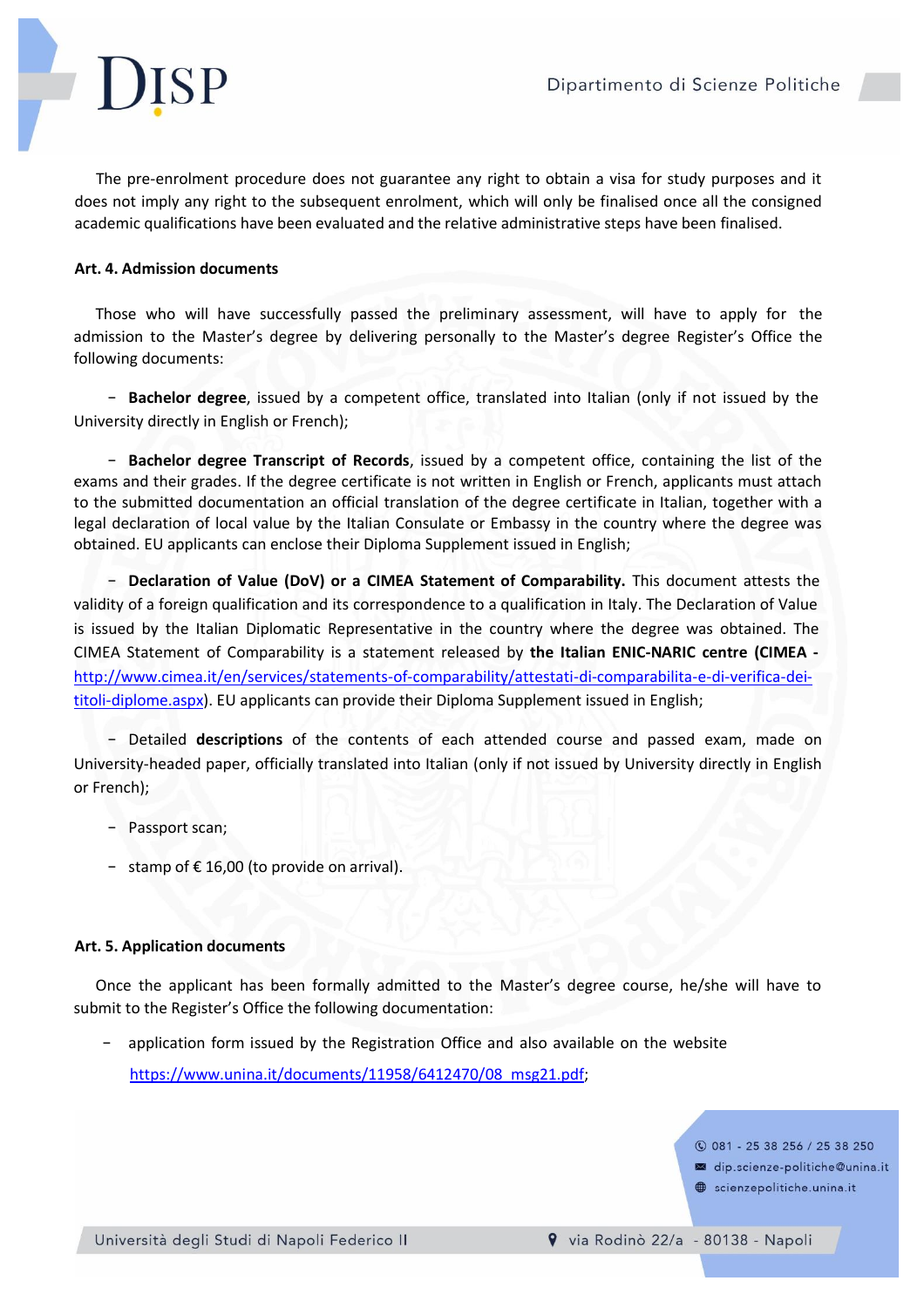The pre-enrolment procedure does not guarantee any right to obtain a visa for study purposes and it does not imply any right to the subsequent enrolment, which will only be finalised once all the consigned academic qualifications have been evaluated and the relative administrative steps have been finalised.

# **Art. 4. Admission documents**

Those who will have successfully passed the preliminary assessment, will have to apply for the admission to the Master's degree by delivering personally to the Master's degree Register's Office the following documents:

- **Bachelor degree**, issued by a competent office, translated into Italian (only if not issued by the University directly in English or French);

- **Bachelor degree Transcript of Records**, issued by a competent office, containing the list of the exams and their grades. If the degree certificate is not written in English or French, applicants must attach to the submitted documentation an official translation of the degree certificate in Italian, together with a legal declaration of local value by the Italian Consulate or Embassy in the country where the degree was obtained. EU applicants can enclose their Diploma Supplement issued in English;

- **Declaration of Value (DoV) or a CIMEA Statement of Comparability.** This document attests the validity of a foreign qualification and its correspondence to a qualification in Italy. The Declaration of Value is issued by the Italian Diplomatic Representative in the country where the degree was obtained. The CIMEA Statement of Comparability is a statement released by **the Italian ENIC-NARIC centre (CIMEA**  [http://www.cimea.it/en/services/statements-of-comparability/attestati-di-comparabilita-e-di-verifica-dei](http://www.cimea.it/en/services/statements-of-comparability/attestati-di-comparabilita-e-di-verifica-dei-)titoli-diplome.aspx). EU applicants can provide their Diploma Supplement issued in English;

- Detailed **descriptions** of the contents of each attended course and passed exam, made on University-headed paper, officially translated into Italian (only if not issued by University directly in English or French);

- Passport scan;
- stamp of €16,00 (to provide on arrival).

### **Art. 5. Application documents**

Once the applicant has been formally admitted to the Master's degree course, he/she will have to submit to the Register's Office the following documentation:

application form issued by the Registration Office and also available on the website [https://ww](http://www.unina.it/documents/11958/6412470/08_msg21.pdf%3B)w.un[ina.it/documents/11958/6412470/08\\_msg21.pdf;](http://www.unina.it/documents/11958/6412470/08_msg21.pdf%3B)

**C** 081 - 25 38 256 / 25 38 250

dip.scienze-politiche@unina.it

scienzepolitiche.unina.it